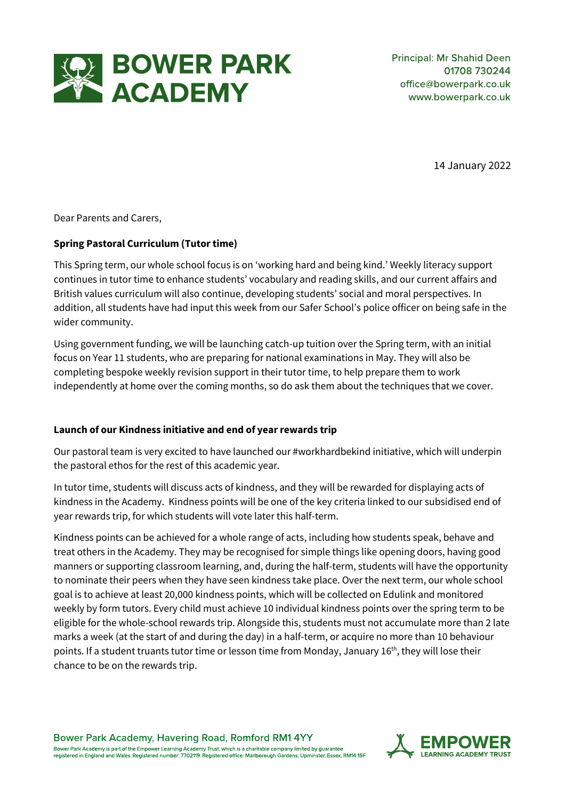

14 January 2022

Dear Parents and Carers,

### **Spring Pastoral Curriculum (Tutor time)**

This Spring term, our whole school focus is on 'working hard and being kind.' Weekly literacy support continues in tutor time to enhance students' vocabulary and reading skills, and our current affairs and British values curriculum will also continue, developing students' social and moral perspectives. In addition, all students have had input this week from our Safer School's police officer on being safe in the wider community.

Using government funding, we will be launching catch-up tuition over the Spring term, with an initial focus on Year 11 students, who are preparing for national examinations in May. They will also be completing bespoke weekly revision support in their tutor time, to help prepare them to work independently at home over the coming months, so do ask them about the techniques that we cover.

# **Launch of our Kindness initiative and end of year rewards trip**

Our pastoral team is very excited to have launched our #workhardbekind initiative, which will underpin the pastoral ethos for the rest of this academic year.

In tutor time, students will discuss acts of kindness, and they will be rewarded for displaying acts of kindness in the Academy. Kindness points will be one of the key criteria linked to our subsidised end of year rewards trip, for which students will vote later this half-term.

Kindness points can be achieved for a whole range of acts, including how students speak, behave and treat others in the Academy. They may be recognised for simple things like opening doors, having good manners or supporting classroom learning, and, during the half-term, students will have the opportunity to nominate their peers when they have seen kindness take place. Over the next term, our whole school goal is to achieve at least 20,000 kindness points, which will be collected on Edulink and monitored weekly by form tutors. Every child must achieve 10 individual kindness points over the spring term to be eligible for the whole-school rewards trip. Alongside this, students must not accumulate more than 2 late marks a week (at the start of and during the day) in a half-term, or acquire no more than 10 behaviour points. If a student truants tutor time or lesson time from Monday, January 16<sup>th</sup>, they will lose their chance to be on the rewards trip.

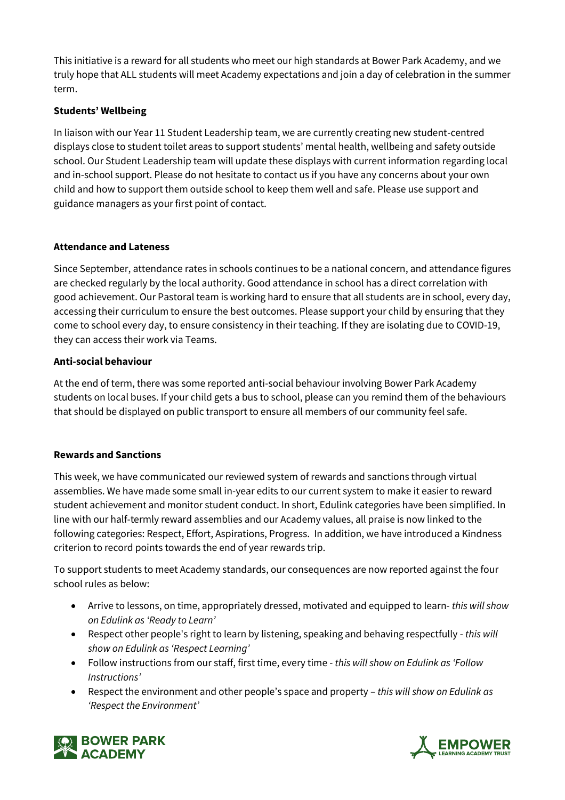This initiative is a reward for all students who meet our high standards at Bower Park Academy, and we truly hope that ALL students will meet Academy expectations and join a day of celebration in the summer term.

# **Students' Wellbeing**

In liaison with our Year 11 Student Leadership team, we are currently creating new student-centred displays close to student toilet areas to support students' mental health, wellbeing and safety outside school. Our Student Leadership team will update these displays with current information regarding local and in-school support. Please do not hesitate to contact us if you have any concerns about your own child and how to support them outside school to keep them well and safe. Please use support and guidance managers as your first point of contact.

### **Attendance and Lateness**

Since September, attendance rates in schools continues to be a national concern, and attendance figures are checked regularly by the local authority. Good attendance in school has a direct correlation with good achievement. Our Pastoral team is working hard to ensure that all students are in school, every day, accessing their curriculum to ensure the best outcomes. Please support your child by ensuring that they come to school every day, to ensure consistency in their teaching. If they are isolating due to COVID-19, they can access their work via Teams.

### **Anti-social behaviour**

At the end of term, there was some reported anti-social behaviour involving Bower Park Academy students on local buses. If your child gets a bus to school, please can you remind them of the behaviours that should be displayed on public transport to ensure all members of our community feel safe.

### **Rewards and Sanctions**

This week, we have communicated our reviewed system of rewards and sanctions through virtual assemblies. We have made some small in-year edits to our current system to make it easier to reward student achievement and monitor student conduct. In short, Edulink categories have been simplified. In line with our half-termly reward assemblies and our Academy values, all praise is now linked to the following categories: Respect, Effort, Aspirations, Progress. In addition, we have introduced a Kindness criterion to record points towards the end of year rewards trip.

To support students to meet Academy standards, our consequences are now reported against the four school rules as below:

- Arrive to lessons, on time, appropriately dressed, motivated and equipped to learn- *this will show on Edulink as 'Ready to Learn'*
- Respect other people's right to learn by listening, speaking and behaving respectfully *this will show on Edulink as 'Respect Learning'*
- Follow instructions from our staff, first time, every time *this will show on Edulink as 'Follow Instructions'*
- Respect the environment and other people's space and property *this will show on Edulink as 'Respect the Environment'*



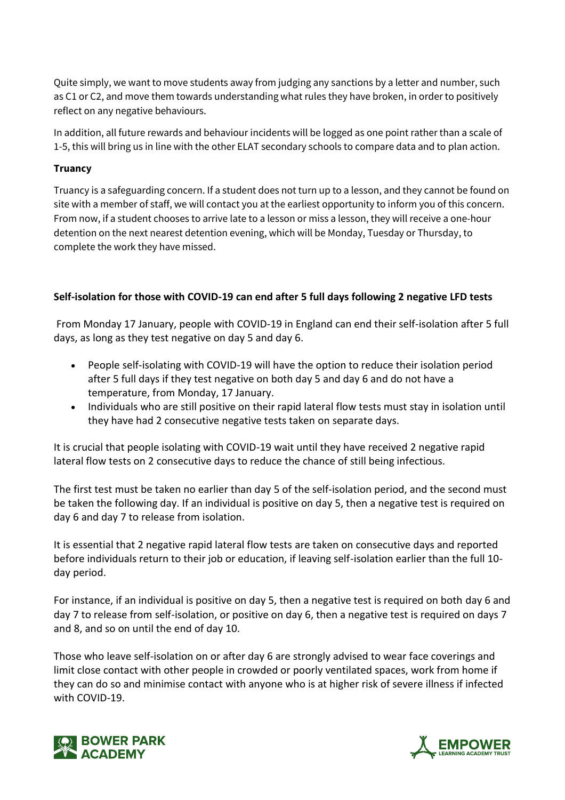Quite simply, we want to move students away from judging any sanctions by a letter and number, such as C1 or C2, and move them towards understanding what rules they have broken, in order to positively reflect on any negative behaviours.

In addition, all future rewards and behaviour incidents will be logged as one point rather than a scale of 1-5, this will bring us in line with the other ELAT secondary schools to compare data and to plan action.

### **Truancy**

Truancy is a safeguarding concern. If a student does not turn up to a lesson, and they cannot be found on site with a member of staff, we will contact you at the earliest opportunity to inform you of this concern. From now, if a student chooses to arrive late to a lesson or miss a lesson, they will receive a one-hour detention on the next nearest detention evening, which will be Monday, Tuesday or Thursday, to complete the work they have missed.

# **Self-isolation for those with COVID-19 can end after 5 full days following 2 negative LFD tests**

From Monday 17 January, people with COVID-19 in England can end their self-isolation after 5 full days, as long as they test negative on day 5 and day 6.

- People self-isolating with COVID-19 will have the option to reduce their isolation period after 5 full days if they test negative on both day 5 and day 6 and do not have a temperature, from Monday, 17 January.
- Individuals who are still positive on their rapid lateral flow tests must stay in isolation until they have had 2 consecutive negative tests taken on separate days.

It is crucial that people isolating with COVID-19 wait until they have received 2 negative rapid lateral flow tests on 2 consecutive days to reduce the chance of still being infectious.

The first test must be taken no earlier than day 5 of the self-isolation period, and the second must be taken the following day. If an individual is positive on day 5, then a negative test is required on day 6 and day 7 to release from isolation.

It is essential that 2 negative rapid lateral flow tests are taken on consecutive days and reported before individuals return to their job or education, if leaving self-isolation earlier than the full 10 day period.

For instance, if an individual is positive on day 5, then a negative test is required on both day 6 and day 7 to release from self-isolation, or positive on day 6, then a negative test is required on days 7 and 8, and so on until the end of day 10.

Those who leave self-isolation on or after day 6 are strongly advised to wear face coverings and limit close contact with other people in crowded or poorly ventilated spaces, work from home if they can do so and minimise contact with anyone who is at higher risk of severe illness if infected with COVID-19.